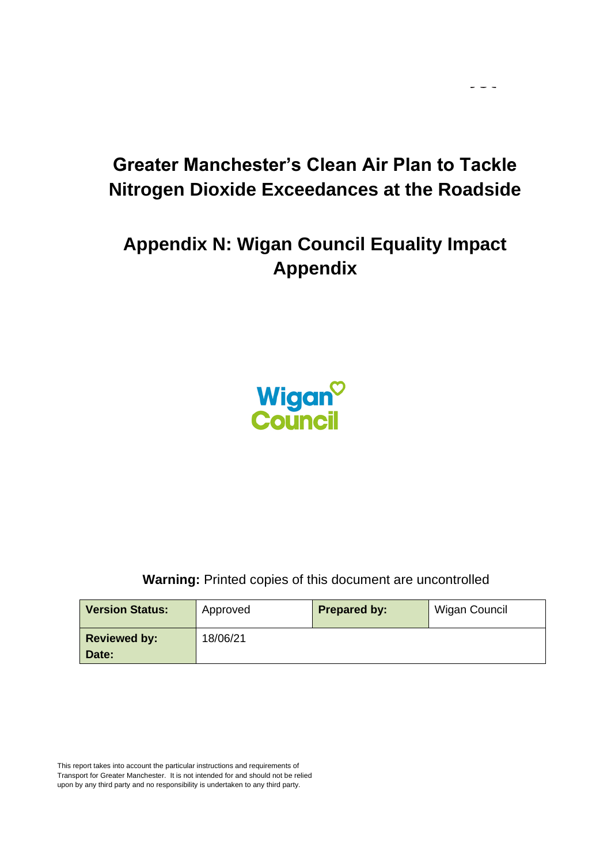$\sim$   $\sim$   $\sim$ 

# **Appendix N: Wigan Council Equality Impact Appendix**



**Warning:** Printed copies of this document are uncontrolled

| <b>Version Status:</b> | Approved | <b>Prepared by:</b> | Wigan Council |
|------------------------|----------|---------------------|---------------|
| <b>Reviewed by:</b>    | 18/06/21 |                     |               |
| Date:                  |          |                     |               |

This report takes into account the particular instructions and requirements of Transport for Greater Manchester. It is not intended for and should not be relied upon by any third party and no responsibility is undertaken to any third party.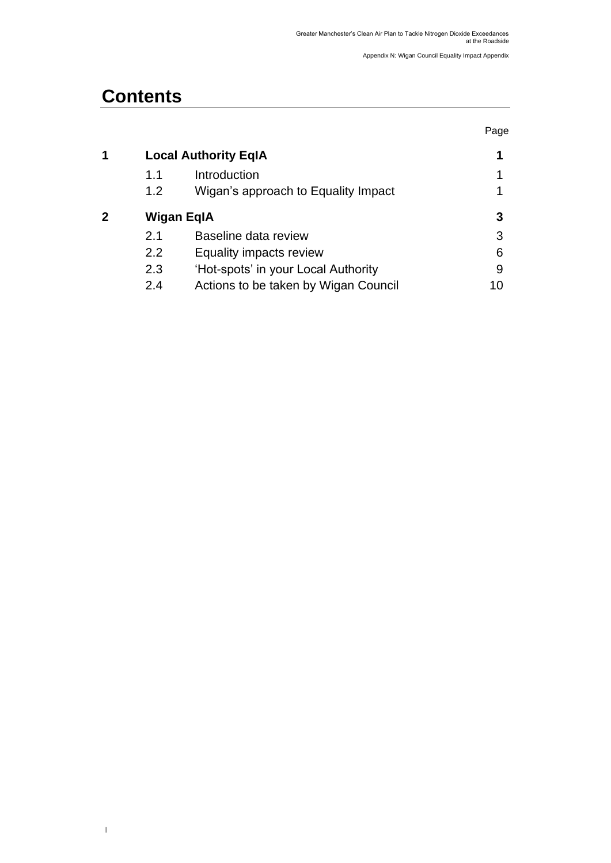## **Contents**

 $\,$   $\,$ 

|   |                             |                                      | Page |
|---|-----------------------------|--------------------------------------|------|
| 1 | <b>Local Authority EqIA</b> | 1                                    |      |
|   | 1.1                         | Introduction                         |      |
|   | 1.2                         | Wigan's approach to Equality Impact  |      |
| 2 | Wigan EqIA                  | 3                                    |      |
|   | 2.1                         | Baseline data review                 | 3    |
|   | 2.2                         | Equality impacts review              | 6    |
|   | 2.3                         | 'Hot-spots' in your Local Authority  | 9    |
|   | 2.4                         | Actions to be taken by Wigan Council | 10   |
|   |                             |                                      |      |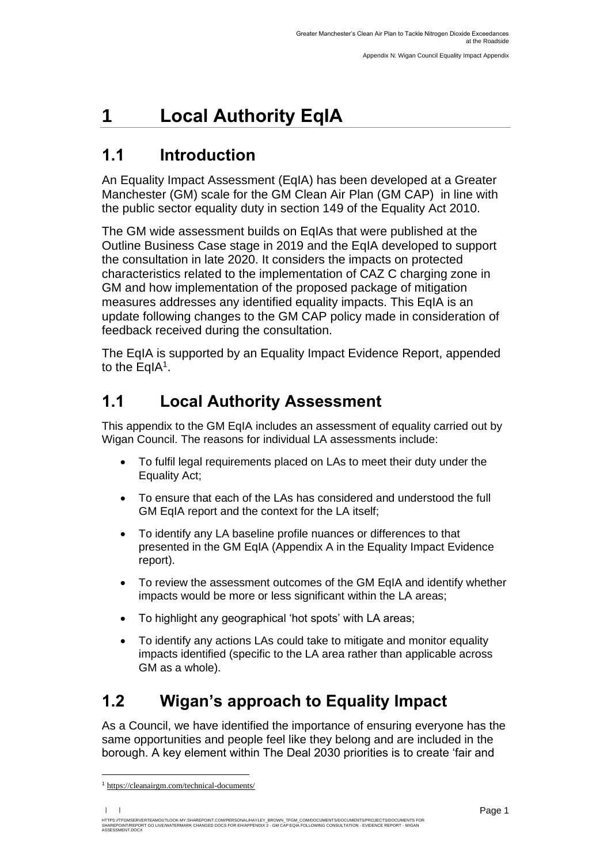# <span id="page-2-0"></span>**1 Local Authority EqIA**

### <span id="page-2-1"></span>**1.1 Introduction**

<span id="page-2-2"></span>An Equality Impact Assessment (EqIA) has been developed at a Greater Manchester (GM) scale for the GM Clean Air Plan (GM CAP) in line with the public sector equality duty in section 149 of the Equality Act 2010.

The GM wide assessment builds on EqIAs that were published at the Outline Business Case stage in 2019 and the EqIA developed to support the consultation in late 2020. It considers the impacts on protected characteristics related to the implementation of CAZ C charging zone in GM and how implementation of the proposed package of mitigation measures addresses any identified equality impacts. This EqIA is an update following changes to the GM CAP policy made in consideration of feedback received during the consultation.

The EqIA is supported by an Equality Impact Evidence Report, appended to the EqIA<sup>1</sup>.

## **1.1 Local Authority Assessment**

This appendix to the GM EqIA includes an assessment of equality carried out by Wigan Council. The reasons for individual LA assessments include:

- To fulfil legal requirements placed on LAs to meet their duty under the Equality Act;
- To ensure that each of the LAs has considered and understood the full GM EqIA report and the context for the LA itself;
- To identify any LA baseline profile nuances or differences to that presented in the GM EqIA (Appendix A in the Equality Impact Evidence report).
- To review the assessment outcomes of the GM EqIA and identify whether impacts would be more or less significant within the LA areas;
- To highlight any geographical 'hot spots' with LA areas;
- To identify any actions LAs could take to mitigate and monitor equality impacts identified (specific to the LA area rather than applicable across GM as a whole).

## **1.2 Wigan's approach to Equality Impact**

As a Council, we have identified the importance of ensuring everyone has the same opportunities and people feel like they belong and are included in the borough. A key element within The Deal 2030 priorities is to create 'fair and

<sup>1</sup> [https://cleanairgm.com/technical-documents/](https://secure-web.cisco.com/11eiBCgElauzNx9ZLncgJx3iOubmp4VtcvvkdlhxY65RKvTbIb59-L2ncr8SElltrd2x-6LbEl4KMsTTxIe3wkMOtRdF_mwDnnUw_pzGQZOwSRIhPJyQIZ8Yp6BpEAcNSn8Ts-zUMkCwwKuuZ6JqlhO90pJazjetwe6gKhLVIM_BswP0PQmXUeuqGyGpWdmieI8qM86OywsW2Ih1TXBkADjvPWBAW0J67oLJLyOi-5a-P-uw5qxFWy4jV1Rgj27aX74mWEA8RmcCJF_QiJniWV9Y7vnNRmfIdielNKILyTnV3ChPut5AXlpom2ThMoaDynN4YcMw9M5bXrEI6WdmDFg/https%3A%2F%2Furl4.mailanyone.net%2Fv1%2F%3Fm%3D1lqaQa-0007kg-3t%26i%3D57e1b682%26c%3Dwx7pouswT3bJs4LPeETsz86q7Q_0OC56XXhe7DlJDibGRSGR8fdmSomeuSdI7C2Fa0eQbaAqoLXhP95flvC3e_rUhnBjBiD8llf9LaF4ZtCjfFRgnR8YVM3huSJaCGnICk94fttlvHc5puWw5cDJWXKncROEJUpzHqnxCBOtlS83l3-sjgML-pIcbUhAQZELxzuJu6c3812_3lnwQAbyYwgocO5Fara8d5TyMQqiWW6tNZcZXXghiSlVoISAGQRmsZ-TU8nVqIdM3Z7LyV0OBSLL4yenFqLa1SDyZM36c6L9Rv_9RwvC_zO8-ja9EEmp3RuaxQ4iKqu8pID_qRBxLRB9hKR0Yp8TjK3AxZQfI6W6JX6ff_FKZIssUgNuX4h8fgWjXtS31MSzgcKKD5htCOS8RNiJG7hqFaezCADs1zqfd5YI5KwtXyQV8Xcw9c04dqUU3rtH6b_zGkplrYZzi_tw5Uh0gVH_yDQ0aze-YmaYOmPe-7DcIOn3tcJzyPAzyNqQZKCfP-i1oh349NtnaY_1gjK4qs0hRBa9R9D0kEGpaGRFokA16JTCjrnHuvRgs7DcM7Fi3nDdrs6xiFxYb34O5EIVstmWMeA67C4pmsqoQ4hX3-rUnQd3vI35GAzQJzJxEsp-QxLb4UU4coOA_r80VNAaur_GF4G4X8lvmN0gEZ3Wu5QzUhFNsj4TCOgSucH17LnJrJVLTZfksCAbTQ)

HTTPS://TFGMSERVERTEAMOUTLOOK-MY.SHAREPOINT.COM/PERSONAL/HAYLEY\_BROWN\_TFGM\_COM/DOCUMENTS/DOCUMENTS/PROJECTS/DOCUMENTS FOR<br>SHAREPOINT/REPORT GO LIVE/WATERMARK CHANGED DOCS FOR EH/APPENDIX 2 - GM CAP EQIA FOLLOWING CONSULTAT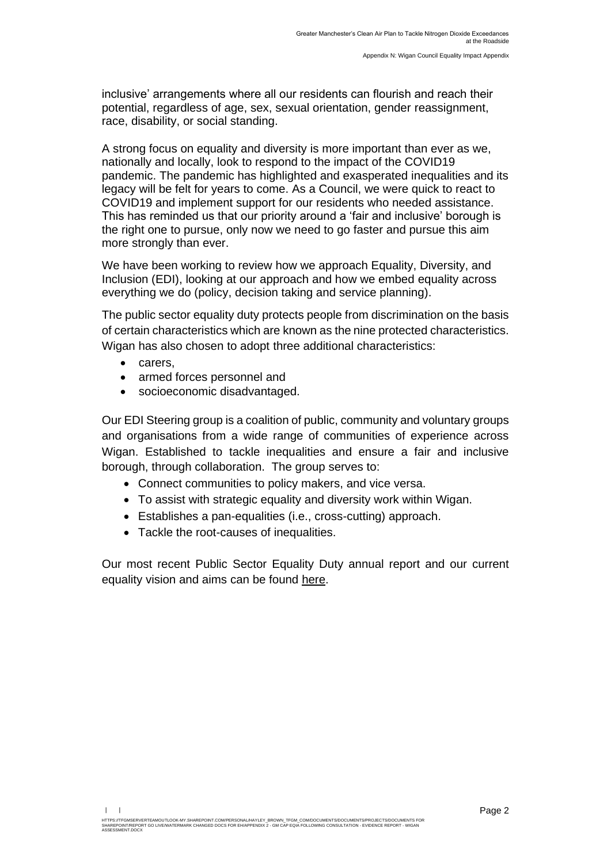inclusive' arrangements where all our residents can flourish and reach their potential, regardless of age, sex, sexual orientation, gender reassignment, race, disability, or social standing.

A strong focus on equality and diversity is more important than ever as we, nationally and locally, look to respond to the impact of the COVID19 pandemic. The pandemic has highlighted and exasperated inequalities and its legacy will be felt for years to come. As a Council, we were quick to react to COVID19 and implement support for our residents who needed assistance. This has reminded us that our priority around a 'fair and inclusive' borough is the right one to pursue, only now we need to go faster and pursue this aim more strongly than ever.

We have been working to review how we approach Equality, Diversity, and Inclusion (EDI), looking at our approach and how we embed equality across everything we do (policy, decision taking and service planning).

The public sector equality duty protects people from discrimination on the basis of certain characteristics which are known as the nine protected characteristics. Wigan has also chosen to adopt three additional characteristics:

- carers,
- armed forces personnel and
- socioeconomic disadvantaged.

Our EDI Steering group is a coalition of public, community and voluntary groups and organisations from a wide range of communities of experience across Wigan. Established to tackle inequalities and ensure a fair and inclusive borough, through collaboration. The group serves to:

- Connect communities to policy makers, and vice versa.
- To assist with strategic equality and diversity work within Wigan.
- Establishes a pan-equalities (i.e., cross-cutting) approach.
- Tackle the root-causes of inequalities.

Our most recent Public Sector Equality Duty annual report and our current equality vision and aims can be found [here.](https://www.wigan.gov.uk/Council/Strategies-Plans-and-Policies/Equality-and-Diversity/Our-vision-and-objectives.aspx)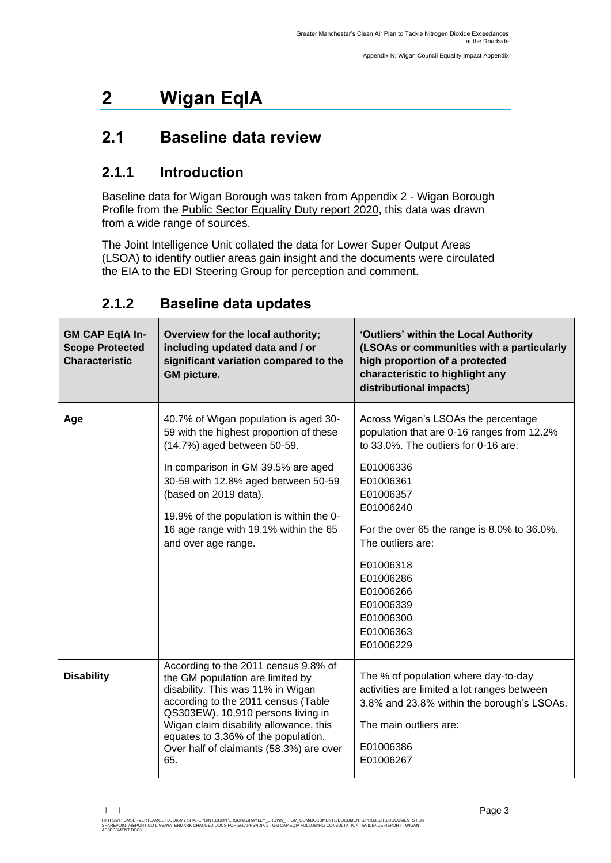## <span id="page-4-0"></span>**2 Wigan EqIA**

### <span id="page-4-1"></span>**2.1 Baseline data review**

#### **2.1.1 Introduction**

Baseline data for Wigan Borough was taken from Appendix 2 - Wigan Borough Profile from the [Public Sector Equality Duty report 2020,](https://www.wigan.gov.uk/Docs/PDF/Council/Strategies-Plans-and-Policies/Equality-and-diversity/Equality-Duty-Annual-Report.pdf) this data was drawn from a wide range of sources.

The Joint Intelligence Unit collated the data for Lower Super Output Areas (LSOA) to identify outlier areas gain insight and the documents were circulated the EIA to the EDI Steering Group for perception and comment.

| <b>GM CAP EqIA In-</b><br><b>Scope Protected</b><br><b>Characteristic</b> | Overview for the local authority;<br>including updated data and / or<br>significant variation compared to the<br><b>GM</b> picture.                                                                                                                                                                                               | 'Outliers' within the Local Authority<br>(LSOAs or communities with a particularly<br>high proportion of a protected<br>characteristic to highlight any<br>distributional impacts)                                                                                                                                                           |
|---------------------------------------------------------------------------|-----------------------------------------------------------------------------------------------------------------------------------------------------------------------------------------------------------------------------------------------------------------------------------------------------------------------------------|----------------------------------------------------------------------------------------------------------------------------------------------------------------------------------------------------------------------------------------------------------------------------------------------------------------------------------------------|
| Age                                                                       | 40.7% of Wigan population is aged 30-<br>59 with the highest proportion of these<br>(14.7%) aged between 50-59.<br>In comparison in GM 39.5% are aged<br>30-59 with 12.8% aged between 50-59<br>(based on 2019 data).<br>19.9% of the population is within the 0-<br>16 age range with 19.1% within the 65<br>and over age range. | Across Wigan's LSOAs the percentage<br>population that are 0-16 ranges from 12.2%<br>to 33.0%. The outliers for 0-16 are:<br>E01006336<br>E01006361<br>E01006357<br>E01006240<br>For the over 65 the range is 8.0% to 36.0%.<br>The outliers are:<br>E01006318<br>E01006286<br>E01006266<br>E01006339<br>E01006300<br>E01006363<br>E01006229 |
| <b>Disability</b>                                                         | According to the 2011 census 9.8% of<br>the GM population are limited by<br>disability. This was 11% in Wigan<br>according to the 2011 census (Table<br>QS303EW). 10,910 persons living in<br>Wigan claim disability allowance, this<br>equates to 3.36% of the population.<br>Over half of claimants (58.3%) are over<br>65.     | The % of population where day-to-day<br>activities are limited a lot ranges between<br>3.8% and 23.8% within the borough's LSOAs.<br>The main outliers are:<br>E01006386<br>E01006267                                                                                                                                                        |

#### **2.1.2 Baseline data updates**

<sup>| |</sup> 

HTTPS://TFGMSERVERTEAMOUTLOOK-MY.SHAREPOINT.COM/PERSONAL/HAYLEY\_BROWN\_TFGM\_COM/DOCUMENTS/DOCUMENTS/PROJECTS/DOCUMENTS FOR<br>SHAREPOINT/REPORT GO LIVE/WATERMARK CHANGED DOCS FOR EH/APPENDIX 2 - GM CAP EQIA FOLLOWING CONSULTAT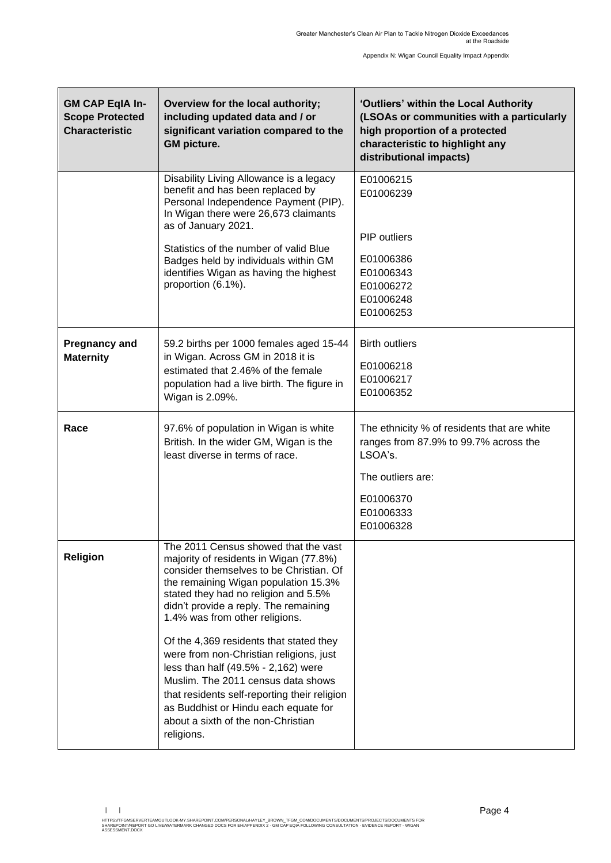| <b>GM CAP EqIA In-</b><br><b>Scope Protected</b><br><b>Characteristic</b> | Overview for the local authority;<br>including updated data and / or<br>significant variation compared to the<br><b>GM picture.</b>                                                                                                                                                                                                                                                                                                                                                                                                                                                                 | 'Outliers' within the Local Authority<br>(LSOAs or communities with a particularly<br>high proportion of a protected<br>characteristic to highlight any<br>distributional impacts) |
|---------------------------------------------------------------------------|-----------------------------------------------------------------------------------------------------------------------------------------------------------------------------------------------------------------------------------------------------------------------------------------------------------------------------------------------------------------------------------------------------------------------------------------------------------------------------------------------------------------------------------------------------------------------------------------------------|------------------------------------------------------------------------------------------------------------------------------------------------------------------------------------|
|                                                                           | Disability Living Allowance is a legacy<br>benefit and has been replaced by<br>Personal Independence Payment (PIP).<br>In Wigan there were 26,673 claimants<br>as of January 2021.<br>Statistics of the number of valid Blue<br>Badges held by individuals within GM<br>identifies Wigan as having the highest<br>proportion (6.1%).                                                                                                                                                                                                                                                                | E01006215<br>E01006239<br>PIP outliers<br>E01006386<br>E01006343<br>E01006272<br>E01006248<br>E01006253                                                                            |
| <b>Pregnancy and</b><br><b>Maternity</b>                                  | 59.2 births per 1000 females aged 15-44<br>in Wigan. Across GM in 2018 it is<br>estimated that 2.46% of the female<br>population had a live birth. The figure in<br>Wigan is 2.09%.                                                                                                                                                                                                                                                                                                                                                                                                                 | <b>Birth outliers</b><br>E01006218<br>E01006217<br>E01006352                                                                                                                       |
| Race                                                                      | 97.6% of population in Wigan is white<br>British. In the wider GM, Wigan is the<br>least diverse in terms of race.                                                                                                                                                                                                                                                                                                                                                                                                                                                                                  | The ethnicity % of residents that are white<br>ranges from 87.9% to 99.7% across the<br>LSOA's.<br>The outliers are:<br>E01006370<br>E01006333<br>E01006328                        |
| <b>Religion</b>                                                           | The 2011 Census showed that the vast<br>majority of residents in Wigan (77.8%)<br>consider themselves to be Christian. Of<br>the remaining Wigan population 15.3%<br>stated they had no religion and 5.5%<br>didn't provide a reply. The remaining<br>1.4% was from other religions.<br>Of the 4,369 residents that stated they<br>were from non-Christian religions, just<br>less than half (49.5% - 2,162) were<br>Muslim. The 2011 census data shows<br>that residents self-reporting their religion<br>as Buddhist or Hindu each equate for<br>about a sixth of the non-Christian<br>religions. |                                                                                                                                                                                    |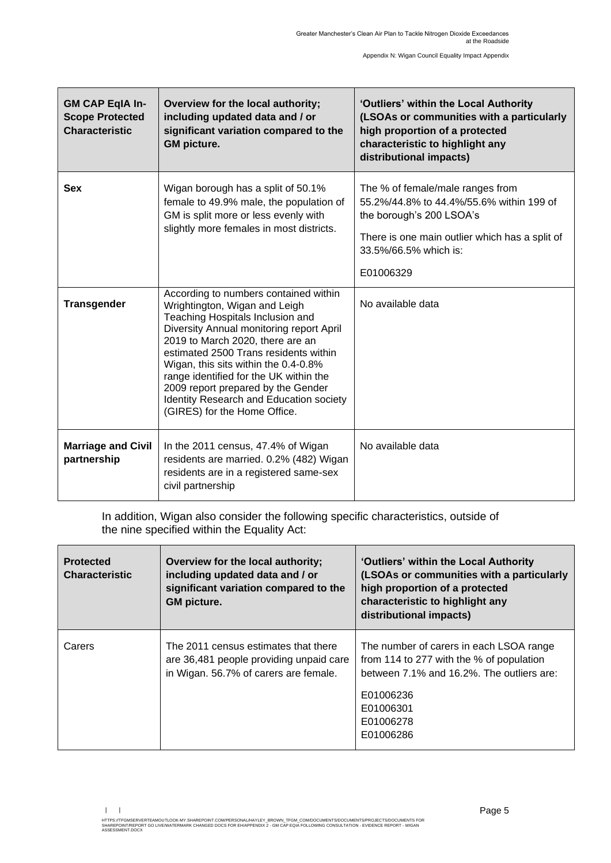| <b>GM CAP EqIA In-</b><br><b>Scope Protected</b><br><b>Characteristic</b> | Overview for the local authority;<br>including updated data and / or<br>significant variation compared to the<br><b>GM</b> picture.                                                                                                                                                                                                                                                                                                    | 'Outliers' within the Local Authority<br>(LSOAs or communities with a particularly<br>high proportion of a protected<br>characteristic to highlight any<br>distributional impacts)               |
|---------------------------------------------------------------------------|----------------------------------------------------------------------------------------------------------------------------------------------------------------------------------------------------------------------------------------------------------------------------------------------------------------------------------------------------------------------------------------------------------------------------------------|--------------------------------------------------------------------------------------------------------------------------------------------------------------------------------------------------|
| <b>Sex</b>                                                                | Wigan borough has a split of 50.1%<br>female to 49.9% male, the population of<br>GM is split more or less evenly with<br>slightly more females in most districts.                                                                                                                                                                                                                                                                      | The % of female/male ranges from<br>55.2%/44.8% to 44.4%/55.6% within 199 of<br>the borough's 200 LSOA's<br>There is one main outlier which has a split of<br>33.5%/66.5% which is:<br>E01006329 |
| <b>Transgender</b>                                                        | According to numbers contained within<br>Wrightington, Wigan and Leigh<br>Teaching Hospitals Inclusion and<br>Diversity Annual monitoring report April<br>2019 to March 2020, there are an<br>estimated 2500 Trans residents within<br>Wigan, this sits within the 0.4-0.8%<br>range identified for the UK within the<br>2009 report prepared by the Gender<br>Identity Research and Education society<br>(GIRES) for the Home Office. | No available data                                                                                                                                                                                |
| <b>Marriage and Civil</b><br>partnership                                  | In the 2011 census, 47.4% of Wigan<br>residents are married. 0.2% (482) Wigan<br>residents are in a registered same-sex<br>civil partnership                                                                                                                                                                                                                                                                                           | No available data                                                                                                                                                                                |

In addition, Wigan also consider the following specific characteristics, outside of the nine specified within the Equality Act:

| <b>Protected</b><br><b>Characteristic</b> | Overview for the local authority;<br>including updated data and / or<br>significant variation compared to the<br><b>GM</b> picture. | 'Outliers' within the Local Authority<br>(LSOAs or communities with a particularly<br>high proportion of a protected<br>characteristic to highlight any<br>distributional impacts)   |
|-------------------------------------------|-------------------------------------------------------------------------------------------------------------------------------------|--------------------------------------------------------------------------------------------------------------------------------------------------------------------------------------|
| Carers                                    | The 2011 census estimates that there<br>are 36,481 people providing unpaid care<br>in Wigan. 56.7% of carers are female.            | The number of carers in each LSOA range<br>from 114 to 277 with the % of population<br>between 7.1% and 16.2%. The outliers are:<br>E01006236<br>E01006301<br>E01006278<br>E01006286 |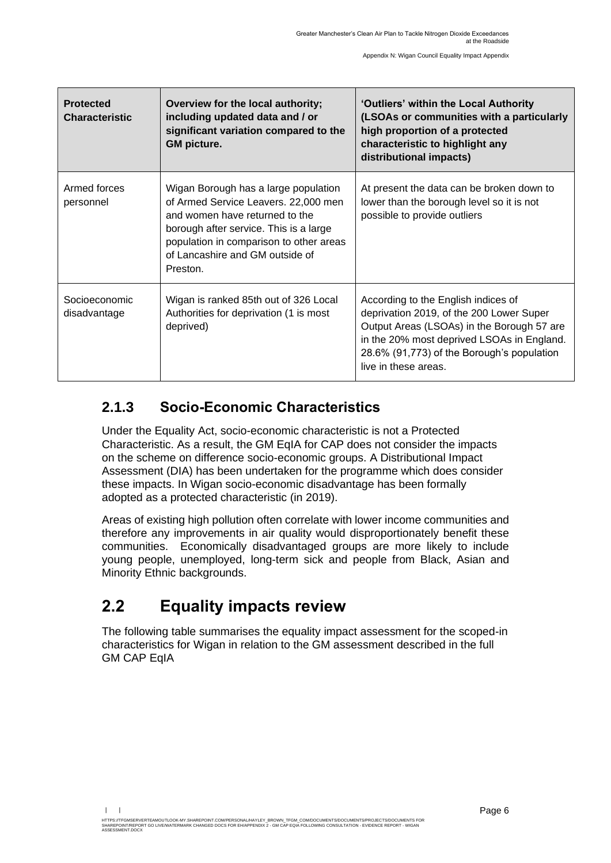| <b>Protected</b><br><b>Characteristic</b> | Overview for the local authority;<br>including updated data and / or<br>significant variation compared to the<br><b>GM picture.</b>                                                                                                                | 'Outliers' within the Local Authority<br>(LSOAs or communities with a particularly<br>high proportion of a protected<br>characteristic to highlight any<br>distributional impacts)                                                                |
|-------------------------------------------|----------------------------------------------------------------------------------------------------------------------------------------------------------------------------------------------------------------------------------------------------|---------------------------------------------------------------------------------------------------------------------------------------------------------------------------------------------------------------------------------------------------|
| Armed forces<br>personnel                 | Wigan Borough has a large population<br>of Armed Service Leavers. 22,000 men<br>and women have returned to the<br>borough after service. This is a large<br>population in comparison to other areas<br>of Lancashire and GM outside of<br>Preston. | At present the data can be broken down to<br>lower than the borough level so it is not<br>possible to provide outliers                                                                                                                            |
| Socioeconomic<br>disadvantage             | Wigan is ranked 85th out of 326 Local<br>Authorities for deprivation (1 is most<br>deprived)                                                                                                                                                       | According to the English indices of<br>deprivation 2019, of the 200 Lower Super<br>Output Areas (LSOAs) in the Borough 57 are<br>in the 20% most deprived LSOAs in England.<br>28.6% (91,773) of the Borough's population<br>live in these areas. |

#### **2.1.3 Socio-Economic Characteristics**

Under the Equality Act, socio-economic characteristic is not a Protected Characteristic. As a result, the GM EqIA for CAP does not consider the impacts on the scheme on difference socio-economic groups. A Distributional Impact Assessment (DIA) has been undertaken for the programme which does consider these impacts. In Wigan socio-economic disadvantage has been formally adopted as a protected characteristic (in 2019).

Areas of existing high pollution often correlate with lower income communities and therefore any improvements in air quality would disproportionately benefit these communities. Economically disadvantaged groups are more likely to include young people, unemployed, long-term sick and people from Black, Asian and Minority Ethnic backgrounds.

## <span id="page-7-0"></span>**2.2 Equality impacts review**

The following table summarises the equality impact assessment for the scoped-in characteristics for Wigan in relation to the GM assessment described in the full **GM CAP EqIA**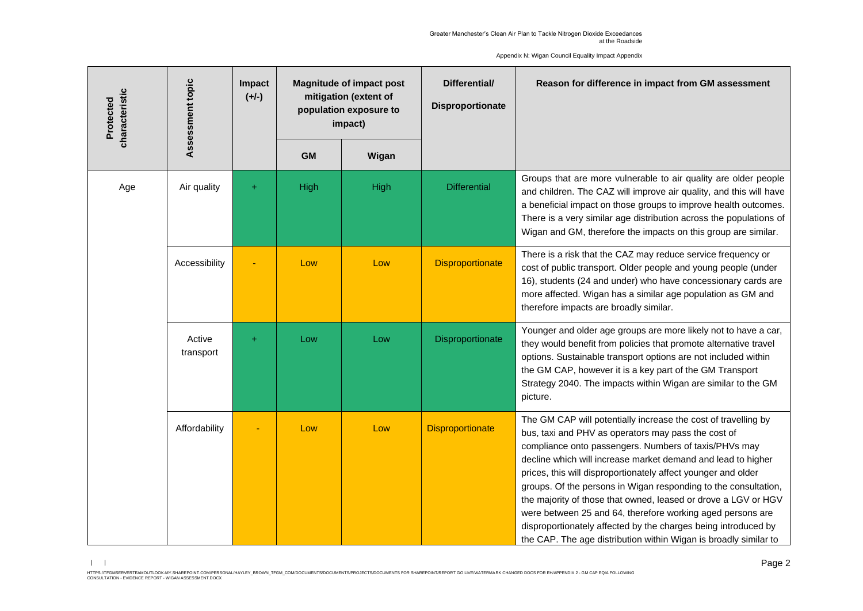Appendix N: Wigan Council Equality Impact Appendix

| characteristic<br>Protected | Assessment topic    | Impact<br>$(+/-)$ | <b>Magnitude of impact post</b><br>mitigation (extent of<br>population exposure to<br>impact) |       | Differential/<br><b>Disproportionate</b> | Reason for difference in impact from GM assessment                                                                                                                                                                                                                                                                                                                                                                                                                                                                                                                                                                                                       |
|-----------------------------|---------------------|-------------------|-----------------------------------------------------------------------------------------------|-------|------------------------------------------|----------------------------------------------------------------------------------------------------------------------------------------------------------------------------------------------------------------------------------------------------------------------------------------------------------------------------------------------------------------------------------------------------------------------------------------------------------------------------------------------------------------------------------------------------------------------------------------------------------------------------------------------------------|
|                             |                     |                   | <b>GM</b>                                                                                     | Wigan |                                          |                                                                                                                                                                                                                                                                                                                                                                                                                                                                                                                                                                                                                                                          |
| Age                         | Air quality         | $\pm$             | High                                                                                          | High  | <b>Differential</b>                      | Groups that are more vulnerable to air quality are older people<br>and children. The CAZ will improve air quality, and this will have<br>a beneficial impact on those groups to improve health outcomes.<br>There is a very similar age distribution across the populations of<br>Wigan and GM, therefore the impacts on this group are similar.                                                                                                                                                                                                                                                                                                         |
|                             | Accessibility       |                   | Low                                                                                           | Low   | <b>Disproportionate</b>                  | There is a risk that the CAZ may reduce service frequency or<br>cost of public transport. Older people and young people (under<br>16), students (24 and under) who have concessionary cards are<br>more affected. Wigan has a similar age population as GM and<br>therefore impacts are broadly similar.                                                                                                                                                                                                                                                                                                                                                 |
|                             | Active<br>transport | Ŧ                 | Low                                                                                           | Low   | Disproportionate                         | Younger and older age groups are more likely not to have a car,<br>they would benefit from policies that promote alternative travel<br>options. Sustainable transport options are not included within<br>the GM CAP, however it is a key part of the GM Transport<br>Strategy 2040. The impacts within Wigan are similar to the GM<br>picture.                                                                                                                                                                                                                                                                                                           |
|                             | Affordability       |                   | Low                                                                                           | Low   | <b>Disproportionate</b>                  | The GM CAP will potentially increase the cost of travelling by<br>bus, taxi and PHV as operators may pass the cost of<br>compliance onto passengers. Numbers of taxis/PHVs may<br>decline which will increase market demand and lead to higher<br>prices, this will disproportionately affect younger and older<br>groups. Of the persons in Wigan responding to the consultation,<br>the majority of those that owned, leased or drove a LGV or HGV<br>were between 25 and 64, therefore working aged persons are<br>disproportionately affected by the charges being introduced by<br>the CAP. The age distribution within Wigan is broadly similar to |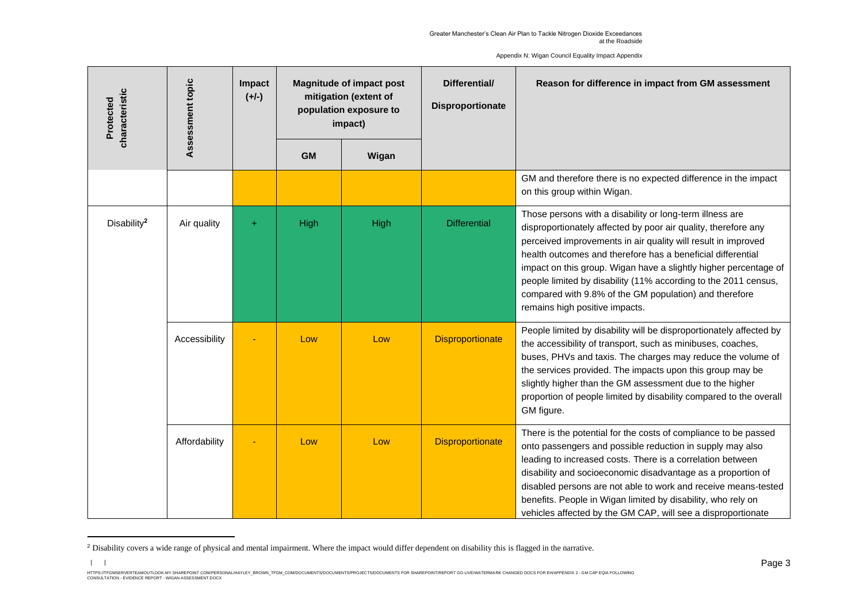Appendix N: Wigan Council Equality Impact Appendix

|  | characteristic<br>Protected | Assessment topic | Impact<br>$(+/-)$ | <b>Magnitude of impact post</b><br>mitigation (extent of<br>population exposure to<br>impact) |       | Differential/<br>Disproportionate | Reason for difference in impact from GM assessment                                                                                                                                                                                                                                                                                                                                                                                                                                            |
|--|-----------------------------|------------------|-------------------|-----------------------------------------------------------------------------------------------|-------|-----------------------------------|-----------------------------------------------------------------------------------------------------------------------------------------------------------------------------------------------------------------------------------------------------------------------------------------------------------------------------------------------------------------------------------------------------------------------------------------------------------------------------------------------|
|  |                             |                  |                   | <b>GM</b>                                                                                     | Wigan |                                   |                                                                                                                                                                                                                                                                                                                                                                                                                                                                                               |
|  |                             |                  |                   |                                                                                               |       |                                   | GM and therefore there is no expected difference in the impact<br>on this group within Wigan.                                                                                                                                                                                                                                                                                                                                                                                                 |
|  | Disability <sup>2</sup>     | Air quality      | ÷                 | High                                                                                          | High  | <b>Differential</b>               | Those persons with a disability or long-term illness are<br>disproportionately affected by poor air quality, therefore any<br>perceived improvements in air quality will result in improved<br>health outcomes and therefore has a beneficial differential<br>impact on this group. Wigan have a slightly higher percentage of<br>people limited by disability (11% according to the 2011 census,<br>compared with 9.8% of the GM population) and therefore<br>remains high positive impacts. |
|  |                             | Accessibility    |                   | Low                                                                                           | Low   | <b>Disproportionate</b>           | People limited by disability will be disproportionately affected by<br>the accessibility of transport, such as minibuses, coaches,<br>buses, PHVs and taxis. The charges may reduce the volume of<br>the services provided. The impacts upon this group may be<br>slightly higher than the GM assessment due to the higher<br>proportion of people limited by disability compared to the overall<br>GM figure.                                                                                |
|  |                             | Affordability    |                   | Low                                                                                           | Low   | <b>Disproportionate</b>           | There is the potential for the costs of compliance to be passed<br>onto passengers and possible reduction in supply may also<br>leading to increased costs. There is a correlation between<br>disability and socioeconomic disadvantage as a proportion of<br>disabled persons are not able to work and receive means-tested<br>benefits. People in Wigan limited by disability, who rely on<br>vehicles affected by the GM CAP, will see a disproportionate                                  |

<sup>&</sup>lt;sup>2</sup> Disability covers a wide range of physical and mental impairment. Where the impact would differ dependent on disability this is flagged in the narrative.

HTTPS://TEGMSERVERTEAMOUTLOCK-MY.SHAREPOINT.COMPERSONAL/HAYLEY\_BROWN\_TFGM\_COMDOCUMENTS/DOCUMENTS/PROJECTS/DOCUMENTS FOR SHAREPOINT/REPORT GO LIVE/WATERMARK CHANGED DOCS FOR EH/APPENDIX 2 - GM CAP EQIA FOLLOWING<br>CONSULTATIO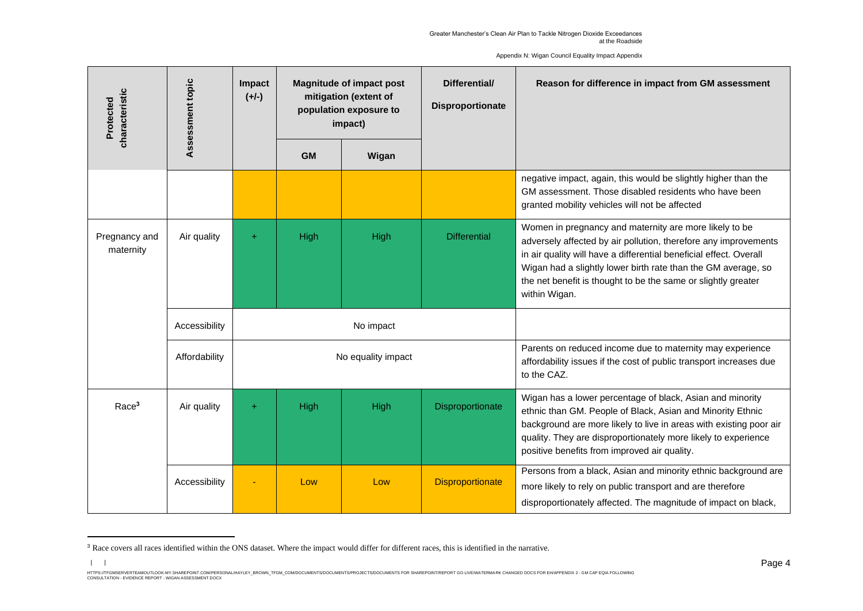Assessment topic **Impact Magnitude of impact post Differential/ Reason for difference in impact from GM assessment Assessment topic** characteristic **characteristic mitigation (extent of (+/-) Protected Disproportionate population exposure to impact) GM Wigan** negative impact, again, this would be slightly higher than the GM assessment. Those disabled residents who have been granted mobility vehicles will not be affected Women in pregnancy and maternity are more likely to be Pregnancy and Air quality  $+$  High High High Differential adversely affected by air pollution, therefore any improvements maternity in air quality will have a differential beneficial effect. Overall Wigan had a slightly lower birth rate than the GM average, so the net benefit is thought to be the same or slightly greater within Wigan. Accessibility | No impact Parents on reduced income due to maternity may experience Affordability **No** equality impact affordability issues if the cost of public transport increases due to the CAZ. Wigan has a lower percentage of black, Asian and minority Race<sup>3</sup> Air quality + High High High Bisproportionate ethnic than GM. People of Black, Asian and Minority Ethnic background are more likely to live in areas with existing poor air quality. They are disproportionately more likely to experience positive benefits from improved air quality. Persons from a black, Asian and minority ethnic background are Accessibility **EXACCESS** 1 Low Low Disproportionate more likely to rely on public transport and are therefore disproportionately affected. The magnitude of impact on black,

Appendix N: Wigan Council Equality Impact Appendix

<sup>&</sup>lt;sup>3</sup> Race covers all races identified within the ONS dataset. Where the impact would differ for different races, this is identified in the narrative.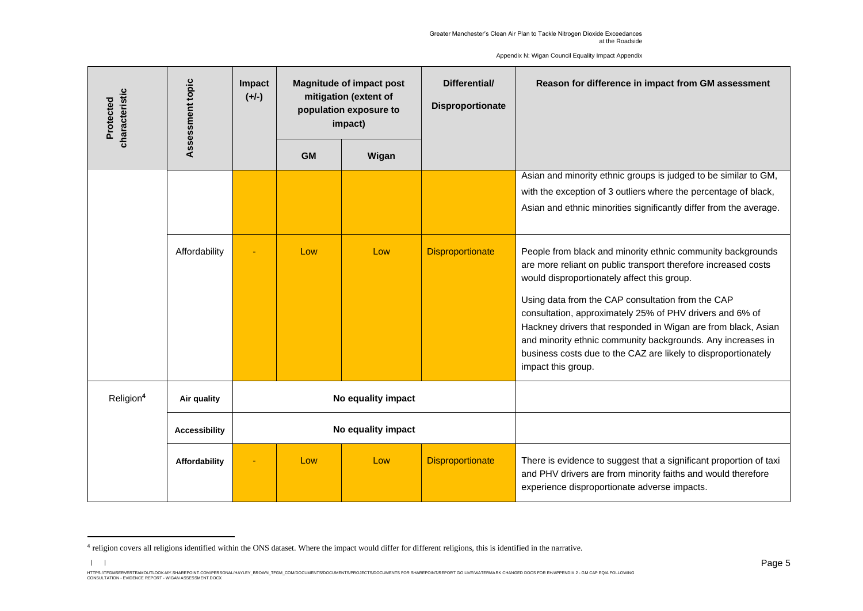Assessment topic **Impact Magnitude of impact post Differential/ Reason for difference in impact from GM assessment Assessment topic** characteristic **characteristic mitigation (extent of (+/-) Protected Disproportionate population exposure to impact) GM Wigan** Asian and minority ethnic groups is judged to be similar to GM, with the exception of 3 outliers where the percentage of black. Asian and ethnic minorities significantly differ from the average. Affordability - Low Low Disproportionate People from black and minority ethnic community backgrounds are more reliant on public transport therefore increased costs would disproportionately affect this group. Using data from the CAP consultation from the CAP consultation, approximately 25% of PHV drivers and 6% of Hackney drivers that responded in Wigan are from black, Asian and minority ethnic community backgrounds. Any increases in business costs due to the CAZ are likely to disproportionately impact this group. Religion**<sup>4</sup> Air quality No equality impact Accessibility No equality impact Affordability** - Low Low Disproportionate There is evidence to suggest that a significant proportion of taxi and PHV drivers are from minority faiths and would therefore experience disproportionate adverse impacts.

Appendix N: Wigan Council Equality Impact Appendix

<sup>&</sup>lt;sup>4</sup> religion covers all religions identified within the ONS dataset. Where the impact would differ for different religions, this is identified in the narrative.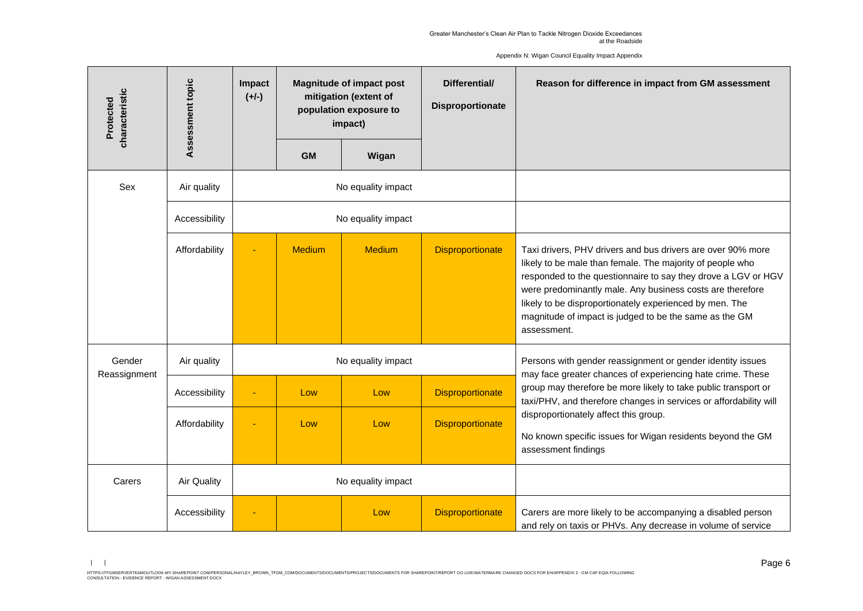Assessment topic **Impact Magnitude of impact post Differential/ Reason for difference in impact from GM assessment Assessment topic** characteristic **characteristic (+/-) mitigation (extent of Protected Disproportionate population exposure to impact) GM Wigan** Sex | Air quality | No equality impact Accessibility **No** equality impact Affordability **- Medium Medium Medium Disproportionate** Taxi drivers, PHV drivers and bus drivers are over 90% more likely to be male than female. The majority of people who responded to the questionnaire to say they drove a LGV or HGV were predominantly male. Any business costs are therefore likely to be disproportionately experienced by men. The magnitude of impact is judged to be the same as the GM assessment. Gender Air quality  $\blacksquare$  No equality impact  $\blacksquare$  Persons with gender reassignment or gender identity issues Reassignment may face greater chances of experiencing hate crime. These group may therefore be more likely to take public transport or Accessibility - Low Low Low Disproportionate taxi/PHV, and therefore changes in services or affordability will disproportionately affect this group. Affordability - Low Low Low Disproportionate No known specific issues for Wigan residents beyond the GM assessment findings Carers | Air Quality | No equality impact Accessibility - Low Low Disproportionate Carers are more likely to be accompanying a disabled person and rely on taxis or PHVs. Any decrease in volume of service

Appendix N: Wigan Council Equality Impact Appendix

<sup>| |</sup>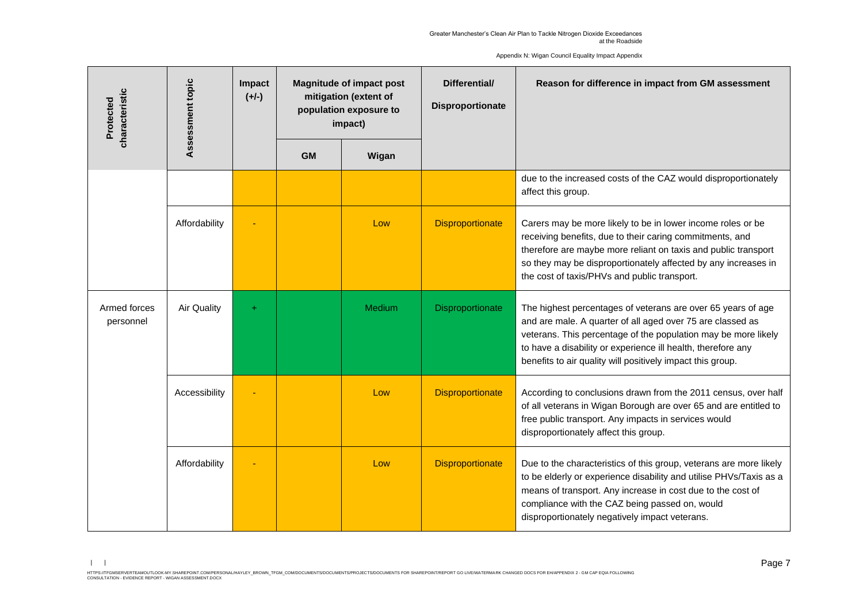Assessment topic **Impact Magnitude of impact post Differential/ Reason for difference in impact from GM assessment Assessment topic** characteristic **characteristic mitigation (extent of (+/-) Protected Disproportionate population exposure to impact) GM Wigan** due to the increased costs of the CAZ would disproportionately affect this group. Affordability **1** - **Low Low Disproportionate** Carers may be more likely to be in lower income roles or be receiving benefits, due to their caring commitments, and therefore are maybe more reliant on taxis and public transport so they may be disproportionately affected by any increases in the cost of taxis/PHVs and public transport. Armed forces Air Quality + Medium Bisproportionate The highest percentages of veterans are over 65 years of age personnel and are male. A quarter of all aged over 75 are classed as veterans. This percentage of the population may be more likely to have a disability or experience ill health, therefore any benefits to air quality will positively impact this group. Accessibility - | Low Low Disproportionate According to conclusions drawn from the 2011 census, over half of all veterans in Wigan Borough are over 65 and are entitled to free public transport. Any impacts in services would disproportionately affect this group. Affordability **- Cow** Low Disproportionate Due to the characteristics of this group, veterans are more likely to be elderly or experience disability and utilise PHVs/Taxis as a means of transport. Any increase in cost due to the cost of compliance with the CAZ being passed on, would disproportionately negatively impact veterans.

Appendix N: Wigan Council Equality Impact Appendix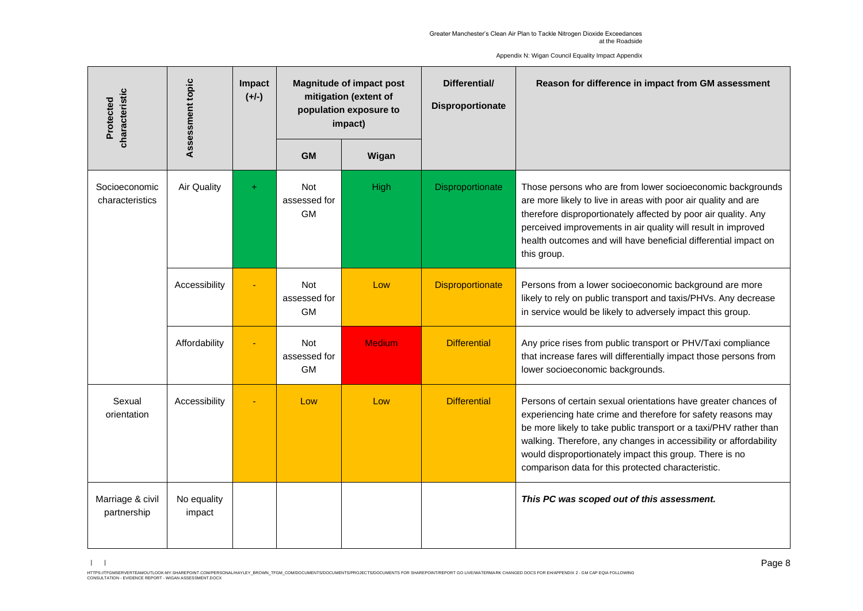Assessment topic **Impact Magnitude of impact post Differential/ Reason for difference in impact from GM assessment Assessment topic** characteristic **characteristic mitigation (extent of (+/-) Protected Disproportionate population exposure to impact) GM Wigan** Socioeconomic Air Quality | + | Not High Disproportionate Those persons who are from lower socioeconomic backgrounds characteristics assessed for are more likely to live in areas with poor air quality and are therefore disproportionately affected by poor air quality. Any GM perceived improvements in air quality will result in improved health outcomes and will have beneficial differential impact on this group. Accessibility - Not Low Disproportionate Persons from a lower socioeconomic background are more assessed for likely to rely on public transport and taxis/PHVs. Any decrease GM in service would be likely to adversely impact this group. Medium Differential Any price rises from public transport or PHV/Taxi compliance Affordability **Fig.** - Not assessed for that increase fares will differentially impact those persons from GM lower socioeconomic backgrounds. Sexual Accessibility - Low Low Low Differential Persons of certain sexual orientations have greater chances of orientation experiencing hate crime and therefore for safety reasons may be more likely to take public transport or a taxi/PHV rather than walking. Therefore, any changes in accessibility or affordability would disproportionately impact this group. There is no comparison data for this protected characteristic. Marriage & civil No equality *This PC was scoped out of this assessment.*partnership impact

Appendix N: Wigan Council Equality Impact Appendix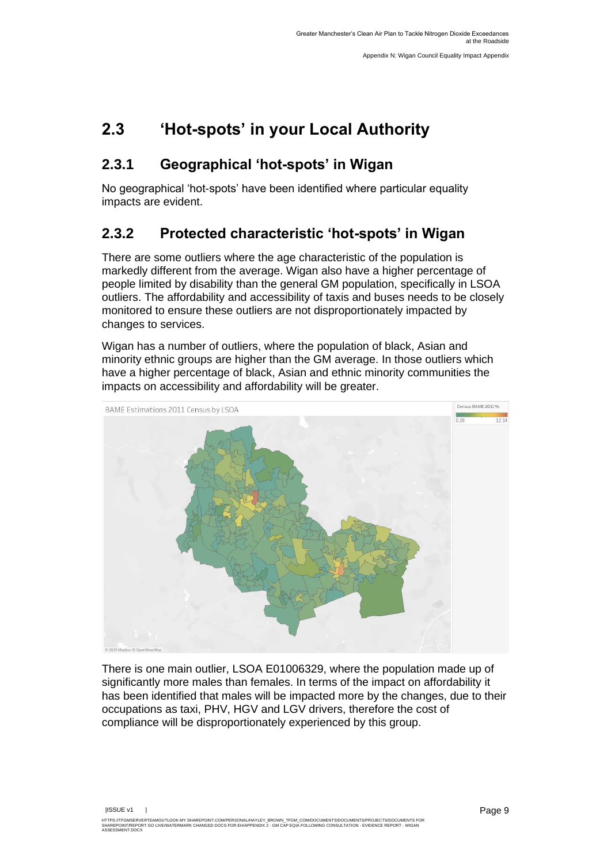## <span id="page-15-0"></span>**2.3 'Hot-spots' in your Local Authority**

#### **2.3.1 Geographical 'hot-spots' in Wigan**

No geographical 'hot-spots' have been identified where particular equality impacts are evident.

#### **2.3.2 Protected characteristic 'hot-spots' in Wigan**

There are some outliers where the age characteristic of the population is markedly different from the average. Wigan also have a higher percentage of people limited by disability than the general GM population, specifically in LSOA outliers. The affordability and accessibility of taxis and buses needs to be closely monitored to ensure these outliers are not disproportionately impacted by changes to services.

Wigan has a number of outliers, where the population of black, Asian and minority ethnic groups are higher than the GM average. In those outliers which have a higher percentage of black, Asian and ethnic minority communities the impacts on accessibility and affordability will be greater.



There is one main outlier, LSOA E01006329, where the population made up of significantly more males than females. In terms of the impact on affordability it has been identified that males will be impacted more by the changes, due to their occupations as taxi, PHV, HGV and LGV drivers, therefore the cost of compliance will be disproportionately experienced by this group.

|ISSUE v1 |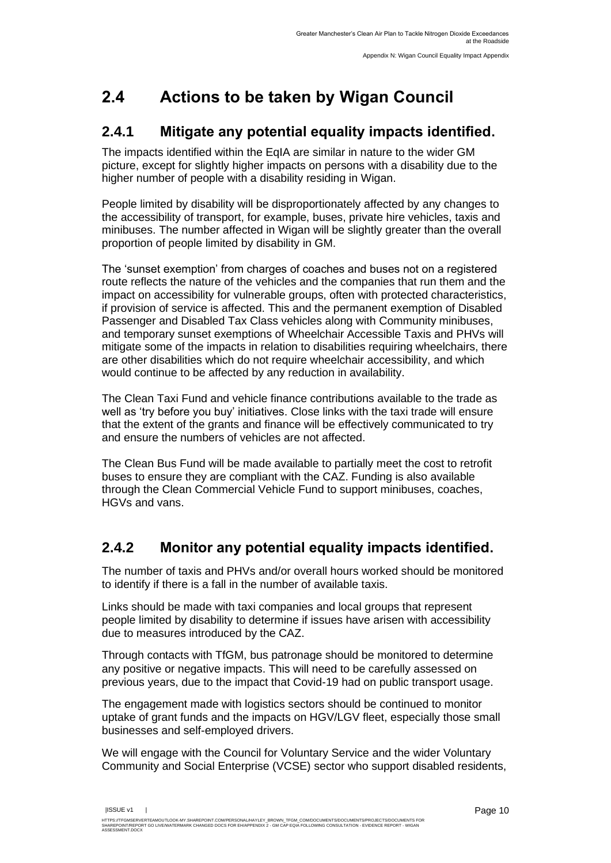## <span id="page-16-0"></span>**2.4 Actions to be taken by Wigan Council**

#### **2.4.1 Mitigate any potential equality impacts identified.**

The impacts identified within the EqIA are similar in nature to the wider GM picture, except for slightly higher impacts on persons with a disability due to the higher number of people with a disability residing in Wigan.

People limited by disability will be disproportionately affected by any changes to the accessibility of transport, for example, buses, private hire vehicles, taxis and minibuses. The number affected in Wigan will be slightly greater than the overall proportion of people limited by disability in GM.

The 'sunset exemption' from charges of coaches and buses not on a registered route reflects the nature of the vehicles and the companies that run them and the impact on accessibility for vulnerable groups, often with protected characteristics, if provision of service is affected. This and the permanent exemption of Disabled Passenger and Disabled Tax Class vehicles along with Community minibuses, and temporary sunset exemptions of Wheelchair Accessible Taxis and PHVs will mitigate some of the impacts in relation to disabilities requiring wheelchairs, there are other disabilities which do not require wheelchair accessibility, and which would continue to be affected by any reduction in availability.

The Clean Taxi Fund and vehicle finance contributions available to the trade as well as 'try before you buy' initiatives. Close links with the taxi trade will ensure that the extent of the grants and finance will be effectively communicated to try and ensure the numbers of vehicles are not affected.

The Clean Bus Fund will be made available to partially meet the cost to retrofit buses to ensure they are compliant with the CAZ. Funding is also available through the Clean Commercial Vehicle Fund to support minibuses, coaches, HGVs and vans.

#### **2.4.2 Monitor any potential equality impacts identified.**

The number of taxis and PHVs and/or overall hours worked should be monitored to identify if there is a fall in the number of available taxis.

Links should be made with taxi companies and local groups that represent people limited by disability to determine if issues have arisen with accessibility due to measures introduced by the CAZ.

Through contacts with TfGM, bus patronage should be monitored to determine any positive or negative impacts. This will need to be carefully assessed on previous years, due to the impact that Covid-19 had on public transport usage.

The engagement made with logistics sectors should be continued to monitor uptake of grant funds and the impacts on HGV/LGV fleet, especially those small businesses and self-employed drivers.

We will engage with the Council for Voluntary Service and the wider Voluntary Community and Social Enterprise (VCSE) sector who support disabled residents,

|ISSUE v1 |